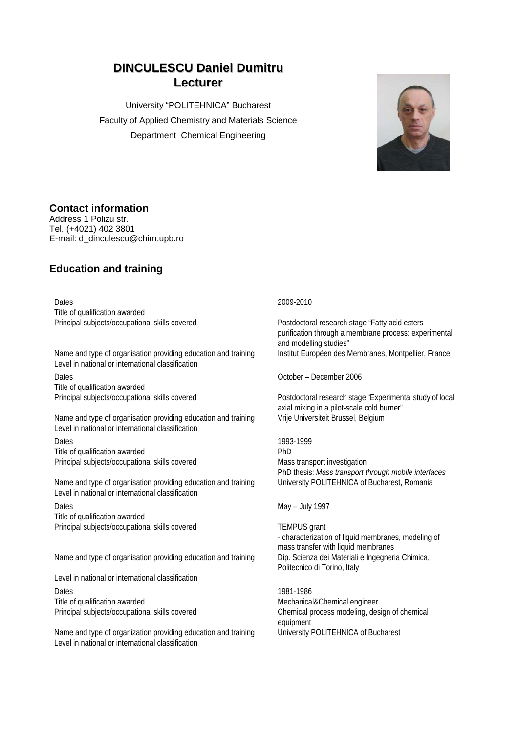# **DINCULESCU Daniel Dumitru Lecturer**

University "POLITEHNICA" Bucharest Faculty of Applied Chemistry and Materials Science Department Chemical Engineering



## **Contact information**

Address 1 Polizu str. Tel. (+4021) 402 3801 E-mail: d\_dinculescu@chim.upb.ro

## **Education and training**

Dates 2009-2010 Title of qualification awarded

Name and type of organisation providing education and training Institut Européen des Membranes, Montpellier, France Level in national or international classification Dates October – December 2006

Title of qualification awarded

Name and type of organisation providing education and training Vrije Universiteit Brussel, Belgium Level in national or international classification

Dates 1993-1999 Title of qualification awarded PhD Principal subjects/occupational skills covered Mass transport investigation

Name and type of organisation providing education and training Level in national or international classification

Dates May – July 1997 Title of qualification awarded Principal subjects/occupational skills covered TEMPUS grant

Name and type of organisation providing education and training

Level in national or international classification

Dates 1981-1986 Title of qualification awarded **Mechanical&Chemical engineer** Mechanical&Chemical engineer

Name and type of organization providing education and training University POLITEHNICA of Bucharest Level in national or international classification

Principal subjects/occupational skills covered Postdoctoral research stage "Fatty acid esters purification through a membrane process: experimental and modelling studies"

Principal subjects/occupational skills covered Postdoctoral research stage "Experimental study of local axial mixing in a pilot-scale cold burner"

PhD thesis: *Mass transport through mobile interfaces*

- characterization of liquid membranes, modeling of mass transfer with liquid membranes<br>Dip. Scienza dei Materiali e Ingegneria Chimica, Politecnico di Torino, Italy

Principal subjects/occupational skills covered Chemical process modeling, design of chemical equipment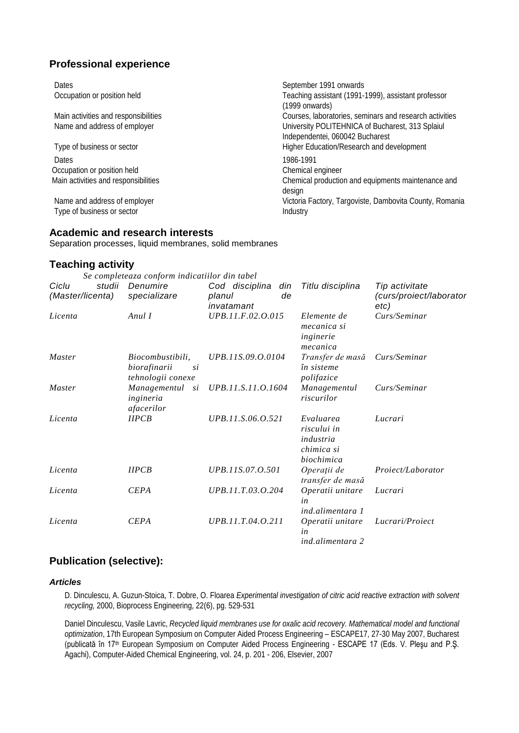## **Professional experience**

| Dates                                | September 1991 onwards                                  |
|--------------------------------------|---------------------------------------------------------|
| Occupation or position held          | Teaching assistant (1991-1999), assistant professor     |
|                                      | (1999 onwards)                                          |
| Main activities and responsibilities | Courses, laboratories, seminars and research activities |
| Name and address of employer         | University POLITEHNICA of Bucharest, 313 Splaiul        |
|                                      | Independentei, 060042 Bucharest                         |
| Type of business or sector           | Higher Education/Research and development               |
| Dates                                | 1986-1991                                               |
| Occupation or position held          | Chemical engineer                                       |
| Main activities and responsibilities | Chemical production and equipments maintenance and      |
|                                      | design                                                  |
| Name and address of employer         | Victoria Factory, Targoviste, Dambovita County, Romania |
| Type of business or sector           | Industry                                                |

#### **Academic and research interests**

Separation processes, liquid membranes, solid membranes

### **Teaching activity**

|                                     | Se completeaza conform indicatiilor din tabel               |                                                     |                                                                   |                                                   |
|-------------------------------------|-------------------------------------------------------------|-----------------------------------------------------|-------------------------------------------------------------------|---------------------------------------------------|
| studii<br>Ciclu<br>(Master/licenta) | Denumire<br>specializare                                    | Cod disciplina<br>din<br>de<br>planul<br>invatamant | Titlu disciplina                                                  | Tip activitate<br>(curs/proiect/laborator<br>etc) |
| Licenta                             | Anul I                                                      | UPB.11.F.02.O.015                                   | Elemente de<br>mecanica si<br>inginerie<br>mecanica               | Curs/Seminar                                      |
| <i>Master</i>                       | Biocombustibili,<br>biorafinarii<br>si<br>tehnologii conexe | UPB.11S.09.O.0104                                   | Transfer de masă<br>în sisteme<br>polifazice                      | Curs/Seminar                                      |
| Master                              | Managementul<br>si<br>ingineria<br>afacerilor               | UPB.11.S.11.O.1604                                  | Managementul<br>riscurilor                                        | Curs/Seminar                                      |
| Licenta                             | IIPCB                                                       | UPB.11.S.06.O.521                                   | Evaluarea<br>riscului in<br>industria<br>chimica si<br>biochimica | Lucrari                                           |
| Licenta                             | IIPCB                                                       | UPB.11S.07.O.501                                    | Operații de<br>transfer de masă                                   | Proiect/Laborator                                 |
| Licenta                             | <b>CEPA</b>                                                 | UPB.11.T.03.O.204                                   | Operatii unitare<br>in<br>ind.alimentara 1                        | Lucrari                                           |
| Licenta                             | <b>CEPA</b>                                                 | UPB.11.T.04.O.211                                   | Operatii unitare<br>in<br>ind.alimentara 2                        | Lucrari/Proiect                                   |

## **Publication (selective):**

#### *Articles*

D. Dinculescu, A. Guzun-Stoica, T. Dobre, O. Floarea *Experimental investigation of citric acid reactive extraction with solvent recycling,* 2000, Bioprocess Engineering, 22(6), pg. 529-531

Daniel Dinculescu, Vasile Lavric, *Recycled liquid membranes use for oxalic acid recovery. Mathematical model and functional optimization*, 17th European Symposium on Computer Aided Process Engineering – ESCAPE17, 27-30 May 2007, Bucharest (publicată în 17th European Symposium on Computer Aided Process Engineering - ESCAPE 17 (Eds. V. Pleşu and P.Ş. Agachi), Computer-Aided Chemical Engineering, vol. 24, p. 201 - 206, Elsevier, 2007